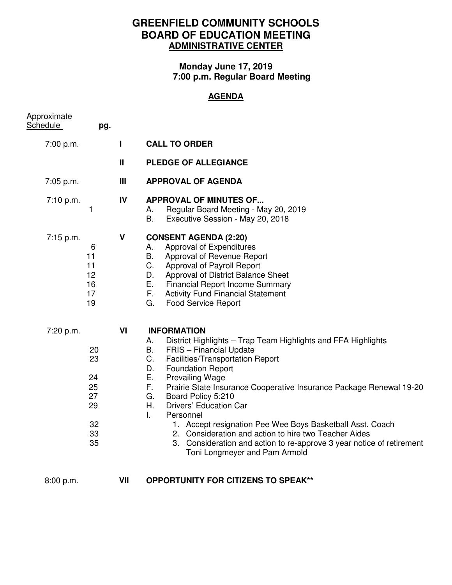## **GREENFIELD COMMUNITY SCHOOLS BOARD OF EDUCATION MEETING ADMINISTRATIVE CENTER**

## **Monday June 17, 2019 7:00 p.m. Regular Board Meeting**

## **AGENDA**

| Approximate<br><b>Schedule</b> | pg.                                                |              |                                                                                                                                                                                                                                                                                                                                                                                                                                                                                                                                                                                                                                    |
|--------------------------------|----------------------------------------------------|--------------|------------------------------------------------------------------------------------------------------------------------------------------------------------------------------------------------------------------------------------------------------------------------------------------------------------------------------------------------------------------------------------------------------------------------------------------------------------------------------------------------------------------------------------------------------------------------------------------------------------------------------------|
| 7:00 p.m.                      |                                                    | $\mathbf{I}$ | <b>CALL TO ORDER</b>                                                                                                                                                                                                                                                                                                                                                                                                                                                                                                                                                                                                               |
|                                |                                                    | Ш            | PLEDGE OF ALLEGIANCE                                                                                                                                                                                                                                                                                                                                                                                                                                                                                                                                                                                                               |
| 7:05 p.m.                      |                                                    | Ш            | <b>APPROVAL OF AGENDA</b>                                                                                                                                                                                                                                                                                                                                                                                                                                                                                                                                                                                                          |
| 7:10 p.m.                      | 1                                                  | IV           | <b>APPROVAL OF MINUTES OF</b><br>Regular Board Meeting - May 20, 2019<br>А.<br>В.<br>Executive Session - May 20, 2018                                                                                                                                                                                                                                                                                                                                                                                                                                                                                                              |
| 7:15 p.m.                      | 6<br>11<br>11<br>12<br>16<br>17<br>19              | V            | <b>CONSENT AGENDA (2:20)</b><br>Approval of Expenditures<br>А.<br>В.<br>Approval of Revenue Report<br>C.<br>Approval of Payroll Report<br>Approval of District Balance Sheet<br>D.<br>Е.<br><b>Financial Report Income Summary</b><br>F.<br><b>Activity Fund Financial Statement</b><br>G.<br><b>Food Service Report</b>                                                                                                                                                                                                                                                                                                           |
| 7:20 p.m.                      | 20<br>23<br>24<br>25<br>27<br>29<br>32<br>33<br>35 | VI           | <b>INFORMATION</b><br>District Highlights – Trap Team Highlights and FFA Highlights<br>А.<br>В.<br>FRIS - Financial Update<br>C.<br>Facilities/Transportation Report<br>D.<br><b>Foundation Report</b><br>Е.<br><b>Prevailing Wage</b><br>F.<br>Prairie State Insurance Cooperative Insurance Package Renewal 19-20<br>G.<br>Board Policy 5:210<br>Η.<br>Drivers' Education Car<br>Personnel<br>L.<br>1. Accept resignation Pee Wee Boys Basketball Asst. Coach<br>2. Consideration and action to hire two Teacher Aides<br>3. Consideration and action to re-approve 3 year notice of retirement<br>Toni Longmeyer and Pam Armold |
| 8:00 p.m.                      |                                                    | VII          | <b>OPPORTUNITY FOR CITIZENS TO SPEAK**</b>                                                                                                                                                                                                                                                                                                                                                                                                                                                                                                                                                                                         |